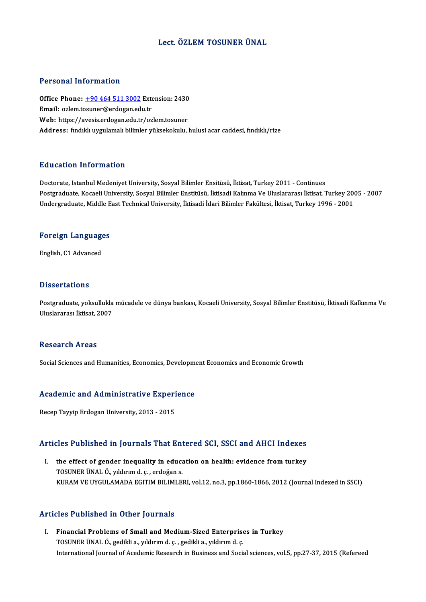## Lect. ÖZLEM TOSUNER ÜNAL

### Personal Information

Personal Information<br>Office Phone: <u>+90 464 511 3002</u> Extension: 2430<br>Email: ezlem tosuner@erdegan.edu.tr Procedular Machinerican<br>Office Phone: <u>+90 464 511 3002</u> Externall: ozlem.t[osuner@erdogan.ed](tel:+90 464 511 3002)u.tr<br>Web: https://avesis.ordogan.edu.tr/en Office Phone: <u>+90 464 511 3002</u> Extension: 2430<br>Email: ozlem.tosuner@erdogan.edu.tr<br>Web: https://avesis.erdogan.edu.tr/ozlem.tosuner Email: ozlem.tosuner@erdogan.edu.tr<br>Web: https://avesis.erdogan.edu.tr/ozlem.tosuner<br>Address: fındıklı uygulamalı bilimler yüksekokulu, hulusi acar caddesi, fındıklı/rize

## Education Information

Doctorate, Istanbul Medeniyet University, Sosyal Bilimler Ensitüsü, İktisat, Turkey 2011 - Continues Pu u custon "Informusion"<br>Doctorate, Istanbul Medeniyet University, Sosyal Bilimler Ensitüsü, İktisat, Turkey 2011 - Continues<br>Postgraduate, Kocaeli University, Sosyal Bilimler Enstitüsü, İktisadi Kalınma Ve Uluslararası İ Doctorate, Istanbul Medeniyet University, Sosyal Bilimler Ensitüsü, İktisat, Turkey 2011 - Continues<br>Postgraduate, Kocaeli University, Sosyal Bilimler Enstitüsü, İktisadi Kalınma Ve Uluslararası İktisat, Turkey 20<br>Undergra

## <sub>ondergraduate, middle E</sub><br>Foreign Languages F<mark>oreign Languag</mark>e<br>English, C1 Advanced

English, C1 Advanced<br>Dissertations

**Dissertations**<br>Postgraduate, yoksullukla mücadele ve dünya bankası, Kocaeli University, Sosyal Bilimler Enstitüsü, İktisadi Kalkınma Ve<br>Uluslararası İktisat, 2007 2 1999 Martono<br>Postgraduate, yoksullukla<br>Uluslararası İktisat, 2007 Uluslararası İktisat, 2007<br>Research Areas

Social Sciences and Humanities, Economics, Development Economics and Economic Growth

## social sciences and Humanities, Economics, Development<br>Academic and Administrative Experience A<mark>cademic and Administrative Experi</mark><br>Recep Tayyip Erdogan University, 2013 - 2015

# Recep rayyip Eruogan University, 2013 - 2015<br>Articles Published in Journals That Entered SCI, SSCI and AHCI Indexes

rticles Published in Journals That Entered SCI, SSCI and AHCI Indexes<br>I. the effect of gender inequality in education on health: evidence from turkey I. the effect of gender inequality in education on health: evidence from turkey<br>TOSUNER ÜNAL Ö., yıldırımd. ç. , erdoğan s. KURAM VE UYGULAMADA EGITIM BILIMLERI, vol.12, no.3, pp.1860-1866, 2012 (Journal Indexed in SSCI)

### Articles Published in Other Journals

I. Financial Problems of Small and Medium-Sized Enterprises in Turkey TOSUNER ÜNAL Ö., gedikli a., yıldırım d. ç. , gedikli a., yıldırım d. ç. International Journal of Acedemic Research in Business and Social sciences, vol.5, pp.27-37, 2015 (Refereed